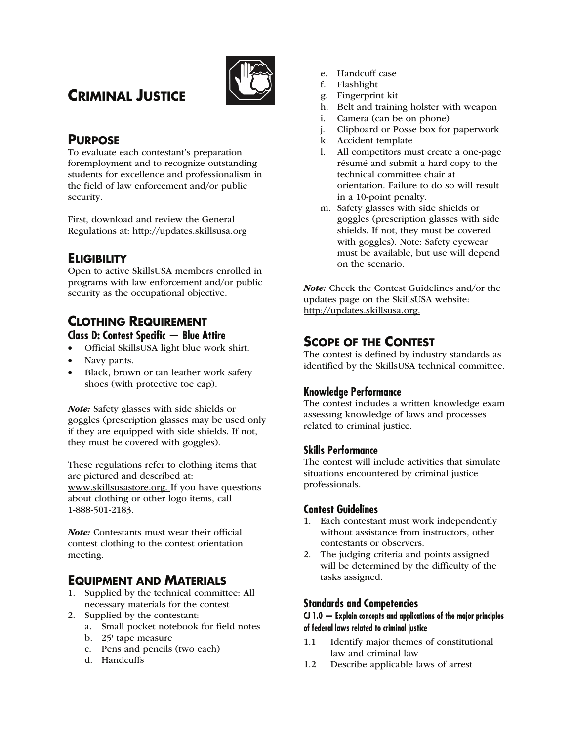

# **CRIMINAL JUSTICE**

## **PURPOSE**

To evaluate each contestant's preparation foremployment and to recognize outstanding students for excellence and professionalism in the field of law enforcement and/or public security.

First, download and review the General Regulations at: http://updates.skillsusa.org

## **ELIGIBILITY**

Open to active SkillsUSA members enrolled in programs with law enforcement and/or public security as the occupational objective.

### **CLOTHING REQUIREMENT Class D: Contest Specific — Blue Attire**

- Official SkillsUSA light blue work shirt.
- Navy pants.
- Black, brown or tan leather work safety shoes (with protective toe cap).

Note: Safety glasses with side shields or goggles (prescription glasses may be used only if they are equipped with side shields. If not, they must be covered with goggles).

These regulations refer to clothing items that are pictured and described at: www.skillsusastore.org. If you have questions about clothing or other logo items, call 1-888-501-2183.

Note: Contestants must wear their official contest clothing to the contest orientation meeting.

## **EQUIPMENT AND MATERIALS**

- 1. Supplied by the technical committee: All necessary materials for the contest
- 2. Supplied by the contestant:
	- a. Small pocket notebook for field notes
	- b. 25' tape measure
	- c. Pens and pencils (two each)
	- d. Handcuffs
- e. Handcuff case
- f. Flashlight
- g. Fingerprint kit
- h. Belt and training holster with weapon
- i. Camera (can be on phone)
- j. Clipboard or Posse box for paperwork
- k. Accident template
- l. All competitors must create a one-page résumé and submit a hard copy to the technical committee chair at orientation. Failure to do so will result in a 10-point penalty.
- m. Safety glasses with side shields or goggles (prescription glasses with side shields. If not, they must be covered with goggles). Note: Safety eyewear must be available, but use will depend on the scenario.

Note: Check the Contest Guidelines and/or the updates page on the SkillsUSA website: http://updates.skillsusa.org.

## **SCOPE OF THE CONTEST**

The contest is defined by industry standards as identified by the SkillsUSA technical committee.

### **Knowledge Performance**

The contest includes a written knowledge exam assessing knowledge of laws and processes related to criminal justice.

#### **Skills Performance**

The contest will include activities that simulate situations encountered by criminal justice professionals.

#### **Contest Guidelines**

- 1. Each contestant must work independently without assistance from instructors, other contestants or observers.
- 2. The judging criteria and points assigned will be determined by the difficulty of the tasks assigned.

#### **Standards and Competencies**

#### **CJ 1.0 — Explain concepts and applications of the major principles of federal laws related to criminal justice**

- 1.1 Identify major themes of constitutional law and criminal law
- 1.2 Describe applicable laws of arrest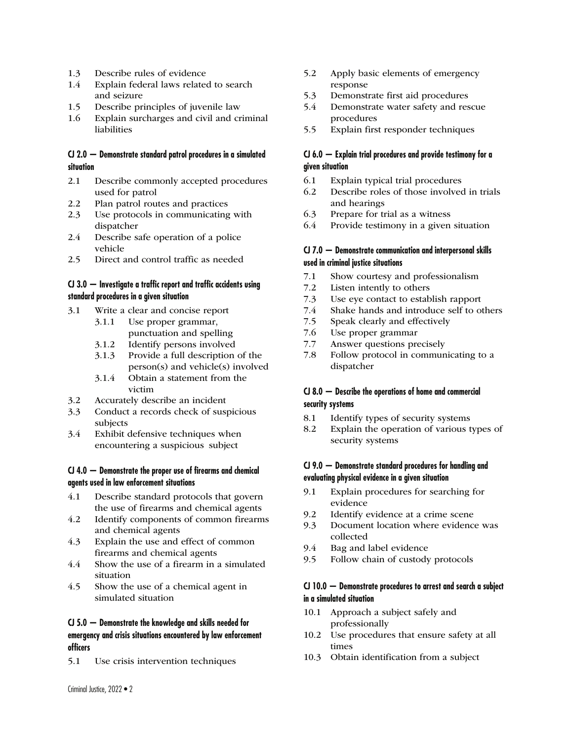- 1.3 Describe rules of evidence
- 1.4 Explain federal laws related to search and seizure
- 1.5 Describe principles of juvenile law
- 1.6 Explain surcharges and civil and criminal liabilities

#### **CJ 2.0 — Demonstrate standard patrol procedures in a simulated situation**

- 2.1 Describe commonly accepted procedures used for patrol
- 2.2 Plan patrol routes and practices
- 2.3 Use protocols in communicating with dispatcher
- 2.4 Describe safe operation of a police vehicle
- 2.5 Direct and control traffic as needed

#### **CJ 3.0 — Investigate a traffic report and traffic accidents using standard procedures in a given situation**

- 3.1 Write a clear and concise report
	- 3.1.1 Use proper grammar, punctuation and spelling
	- 3.1.2 Identify persons involved
	- 3.1.3 Provide a full description of the person(s) and vehicle(s) involved
	- 3.1.4 Obtain a statement from the victim
- 3.2 Accurately describe an incident
- 3.3 Conduct a records check of suspicious subjects
- 3.4 Exhibit defensive techniques when encountering a suspicious subject

#### **CJ 4.0 — Demonstrate the proper use of firearms and chemical agents used in law enforcement situations**

- 4.1 Describe standard protocols that govern the use of firearms and chemical agents
- 4.2 Identify components of common firearms and chemical agents
- 4.3 Explain the use and effect of common firearms and chemical agents
- 4.4 Show the use of a firearm in a simulated situation
- 4.5 Show the use of a chemical agent in simulated situation

#### **CJ 5.0 — Demonstrate the knowledge and skills needed for emergency and crisis situations encountered by law enforcement officers**

5.1 Use crisis intervention techniques

- 5.2 Apply basic elements of emergency response
- 5.3 Demonstrate first aid procedures
- 5.4 Demonstrate water safety and rescue procedures
- 5.5 Explain first responder techniques

#### **CJ 6.0 — Explain trial procedures and provide testimony for a given situation**

- 6.1 Explain typical trial procedures
- 6.2 Describe roles of those involved in trials and hearings
- 6.3 Prepare for trial as a witness
- 6.4 Provide testimony in a given situation

#### **CJ 7.0 — Demonstrate communication and interpersonal skills used in criminal justice situations**

- 7.1 Show courtesy and professionalism
- 7.2 Listen intently to others
- 7.3 Use eye contact to establish rapport
- 7.4 Shake hands and introduce self to others
- 7.5 Speak clearly and effectively
- 7.6 Use proper grammar
- 7.7 Answer questions precisely
- 7.8 Follow protocol in communicating to a dispatcher

#### **CJ 8.0 — Describe the operations of home and commercial security systems**

- 8.1 Identify types of security systems
- 8.2 Explain the operation of various types of security systems

#### **CJ 9.0 — Demonstrate standard procedures for handling and evaluating physical evidence in a given situation**

- 9.1 Explain procedures for searching for evidence
- 9.2 Identify evidence at a crime scene
- 9.3 Document location where evidence was collected
- 9.4 Bag and label evidence
- 9.5 Follow chain of custody protocols

#### **CJ 10.0 — Demonstrate procedures to arrest and search a subject in a simulated situation**

- 10.1 Approach a subject safely and professionally
- 10.2 Use procedures that ensure safety at all times
- 10.3 Obtain identification from a subject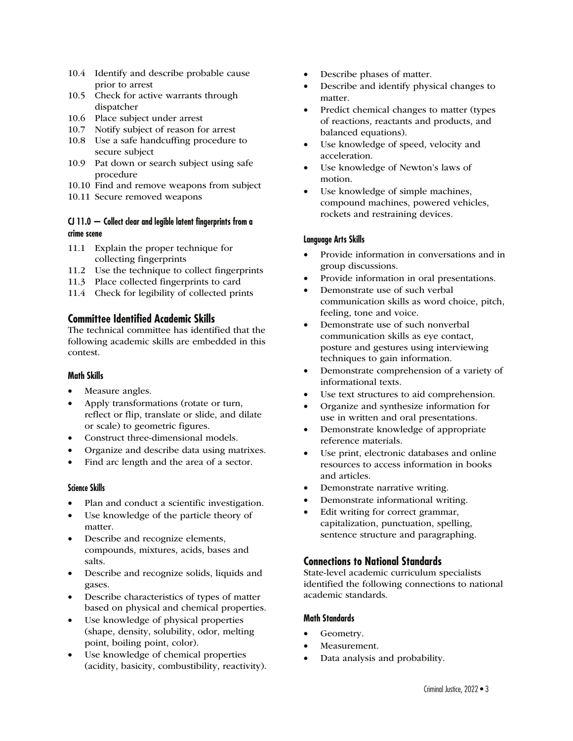- 10.4 Identify and describe probable cause prior to arrest
- 10.5 Check for active warrants through dispatcher
- 10.6 Place subject under arrest
- 10.7 Notify subject of reason for arrest
- 10.8 Use a safe handcuffing procedure to secure subject
- 10.9 Pat down or search subject using safe procedure
- 10.10 Find and remove weapons from subject
- 10.11 Secure removed weapons

#### **CJ 11.0 — Collect clear and legible latent fingerprints from a crime scene**

- 11.1 Explain the proper technique for collecting fingerprints
- 11.2 Use the technique to collect fingerprints
- 11.3 Place collected fingerprints to card
- 11.4 Check for legibility of collected prints

#### **Committee Identified Academic Skills**

The technical committee has identified that the following academic skills are embedded in this contest.

#### **Math Skills**

- Measure angles.
- Apply transformations (rotate or turn, reflect or flip, translate or slide, and dilate or scale) to geometric figures.
- Construct three-dimensional models.
- Organize and describe data using matrixes.
- Find arc length and the area of a sector.

#### **Science Skills**

- Plan and conduct a scientific investigation.
- Use knowledge of the particle theory of matter.
- Describe and recognize elements, compounds, mixtures, acids, bases and salts.
- Describe and recognize solids, liquids and gases.
- Describe characteristics of types of matter based on physical and chemical properties.
- Use knowledge of physical properties (shape, density, solubility, odor, melting point, boiling point, color).
- Use knowledge of chemical properties (acidity, basicity, combustibility, reactivity).
- Describe phases of matter.
- Describe and identify physical changes to matter.
- Predict chemical changes to matter (types of reactions, reactants and products, and balanced equations).
- Use knowledge of speed, velocity and acceleration.
- Use knowledge of Newton's laws of motion.
- Use knowledge of simple machines, compound machines, powered vehicles, rockets and restraining devices.

#### **Language Arts Skills**

- Provide information in conversations and in group discussions.
- Provide information in oral presentations.
- Demonstrate use of such verbal communication skills as word choice, pitch, feeling, tone and voice.
- Demonstrate use of such nonverbal communication skills as eye contact, posture and gestures using interviewing techniques to gain information.
- Demonstrate comprehension of a variety of informational texts.
- Use text structures to aid comprehension.
- Organize and synthesize information for use in written and oral presentations.
- Demonstrate knowledge of appropriate reference materials.
- Use print, electronic databases and online resources to access information in books and articles.
- Demonstrate narrative writing.
- Demonstrate informational writing.
- Edit writing for correct grammar, capitalization, punctuation, spelling, sentence structure and paragraphing.

#### **Connections to National Standards**

State-level academic curriculum specialists identified the following connections to national academic standards.

#### **Math Standards**

- Geometry.
- Measurement.
- Data analysis and probability.